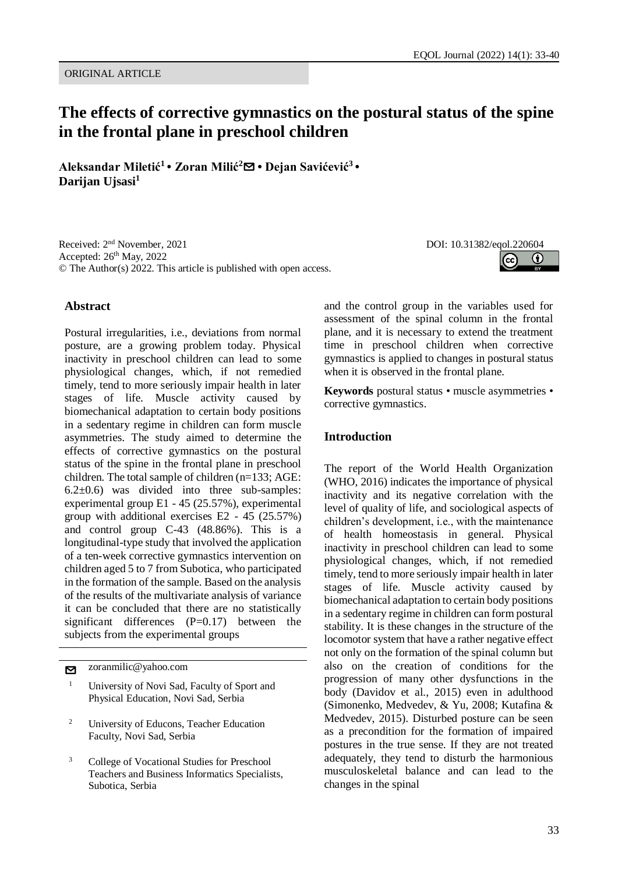# **The effects of corrective gymnastics on the postural status of the spine in the frontal plane in preschool children**

**Aleksandar Miletić<sup>1</sup> • Zoran Milić<sup>2</sup>**[✉](mailto:zoranmilic@yahoo.com?subject=EQOL%20Journal) **• Dejan Savićević<sup>3</sup> • Darijan Ujsasi<sup>1</sup>**

Received: 2<sup>nd</sup> November, 2021 Accepted: 26th May, 2022 © The Author(s) 2022. This article is published with open access.

# **Abstract**

Postural irregularities, i.e., deviations from normal posture, are a growing problem today. Physical inactivity in preschool children can lead to some physiological changes, which, if not remedied timely, tend to more seriously impair health in later stages of life. Muscle activity caused by biomechanical adaptation to certain body positions in a sedentary regime in children can form muscle asymmetries. The study aimed to determine the effects of corrective gymnastics on the postural status of the spine in the frontal plane in preschool children. The total sample of children (n=133; AGE:  $6.2\pm0.6$  was divided into three sub-samples: experimental group E1 - 45 (25.57%), experimental group with additional exercises E2 - 45 (25.57%) and control group C-43 (48.86%). This is a longitudinal-type study that involved the application of a ten-week corrective gymnastics intervention on children aged 5 to 7 from Subotica, who participated in the formation of the sample. Based on the analysis of the results of the multivariate analysis of variance it can be concluded that there are no statistically significant differences (P=0.17) between the subjects from the experimental groups

[✉](mailto:zoranmilic@yahoo.com?subject=EQOL%20Journal) zoranmilic@yahoo.com

- <sup>1</sup> University of Novi Sad, Faculty of Sport and Physical Education, Novi Sad, Serbia
- <sup>2</sup> University of Educons, Teacher Education Faculty, Novi Sad, Serbia
- <sup>3</sup> College of Vocational Studies for Preschool Teachers and Business Informatics Specialists, Subotica, Serbia

DOI: 10.31382/eqol.220604  $\bf(i)$ 

and the control group in the variables used for assessment of the spinal column in the frontal plane, and it is necessary to extend the treatment time in preschool children when corrective gymnastics is applied to changes in postural status when it is observed in the frontal plane.

**Keywords** postural status • muscle asymmetries • corrective gymnastics.

### **Introduction**

The report of the World Health Organization (WHO, 2016) indicates the importance of physical inactivity and its negative correlation with the level of quality of life, and sociological aspects of children's development, i.e., with the maintenance of health homeostasis in general. Physical inactivity in preschool children can lead to some physiological changes, which, if not remedied timely, tend to more seriously impair health in later stages of life. Muscle activity caused by biomechanical adaptation to certain body positions in a sedentary regime in children can form postural stability. It is these changes in the structure of the locomotor system that have a rather negative effect not only on the formation of the spinal column but also on the creation of conditions for the progression of many other dysfunctions in the body (Davidov et al., 2015) even in adulthood (Simonenko, Medvedev, & Yu, 2008; Kutafina & Medvedev, 2015). Disturbed posture can be seen as a precondition for the formation of impaired postures in the true sense. If they are not treated adequately, they tend to disturb the harmonious musculoskeletal balance and can lead to the changes in the spinal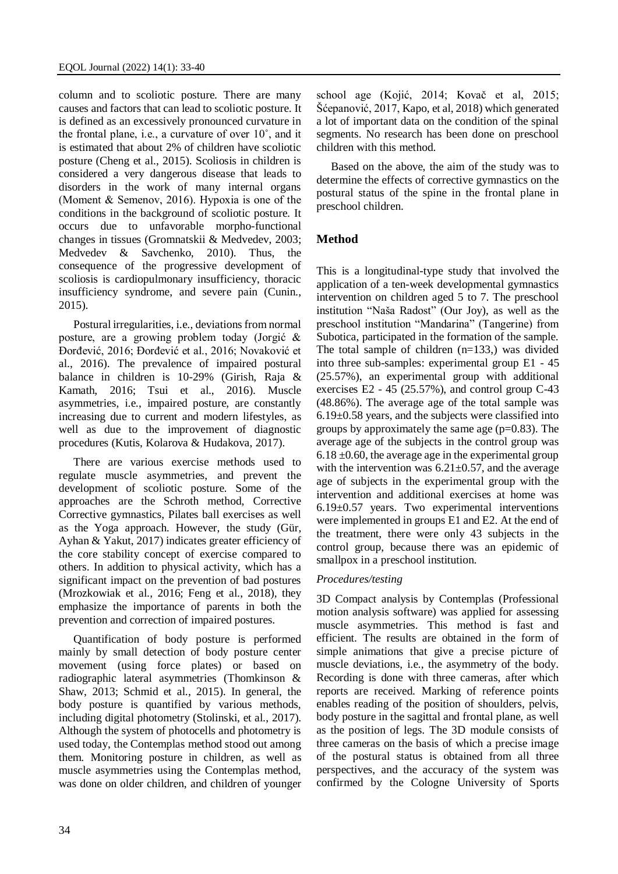column and to scoliotic posture. There are many causes and factors that can lead to scoliotic posture. It is defined as an excessively pronounced curvature in the frontal plane, i.e., a curvature of over 10˚, and it is estimated that about 2% of children have scoliotic posture (Cheng et al., 2015). Scoliosis in children is considered a very dangerous disease that leads to disorders in the work of many internal organs (Моment & Semenov, 2016). Hypoxia is one of the conditions in the background of scoliotic posture. It occurs due to unfavorable morpho-functional changes in tissues (Gromnatskii & Medvedev, 2003; Medvedev & Savchenko, 2010). Thus, the consequence of the progressive development of scoliosis is cardiopulmonary insufficiency, thoracic insufficiency syndrome, and severe pain (Cunin., 2015).

Postural irregularities, i.e., deviations from normal posture, are a growing problem today (Jorgić & Đorđević, 2016; Đorđević et al., 2016; Novaković et al., 2016). The prevalence of impaired postural balance in children is 10-29% (Girish, Raja & Kamath, 2016; Tsui et al., 2016). Muscle asymmetries, i.e., impaired posture, are constantly increasing due to current and modern lifestyles, as well as due to the improvement of diagnostic procedures (Kutis, Kolarova & Hudakova, 2017).

There are various exercise methods used to regulate muscle asymmetries, and prevent the development of scoliotic posture. Some of the approaches are the Schroth method, Corrective Corrective gymnastics, Pilates ball exercises as well as the Yoga approach. However, the study (Gür, Ayhan & Yakut, 2017) indicates greater efficiency of the core stability concept of exercise compared to others. In addition to physical activity, which has a significant impact on the prevention of bad postures (Mrozkowiak et al., 2016; Feng et al., 2018), they emphasize the importance of parents in both the prevention and correction of impaired postures.

Quantification of body posture is performed mainly by small detection of body posture center movement (using force plates) or based on radiographic lateral asymmetries (Thomkinson & Shaw, 2013; Schmid et al., 2015). In general, the body posture is quantified by various methods, including digital photometry (Stolinski, et al., 2017). Although the system of photocells and photometry is used today, the Contemplas method stood out among them. Monitoring posture in children, as well as muscle asymmetries using the Contemplas method, was done on older children, and children of younger school age (Kojić, 2014; Kovač et al, 2015; Šćepanović, 2017, Kapo, et al, 2018) which generated a lot of important data on the condition of the spinal segments. No research has been done on preschool children with this method.

Based on the above, the aim of the study was to determine the effects of corrective gymnastics on the postural status of the spine in the frontal plane in preschool children.

# **Method**

This is a longitudinal-type study that involved the application of a ten-week developmental gymnastics intervention on children aged 5 to 7. The preschool institution "Naša Radost" (Our Joy), as well as the preschool institution "Mandarina" (Tangerine) from Subotica, participated in the formation of the sample. The total sample of children (n=133,) was divided into three sub-samples: experimental group E1 - 45 (25.57%), an experimental group with additional exercises  $E2 - 45$  (25.57%), and control group C-43 (48.86%). The average age of the total sample was  $6.19\pm0.58$  years, and the subjects were classified into groups by approximately the same age  $(p=0.83)$ . The average age of the subjects in the control group was  $6.18 \pm 0.60$ , the average age in the experimental group with the intervention was  $6.21 \pm 0.57$ , and the average age of subjects in the experimental group with the intervention and additional exercises at home was  $6.19\pm0.57$  years. Two experimental interventions were implemented in groups E1 and E2. At the end of the treatment, there were only 43 subjects in the control group, because there was an epidemic of smallpox in a preschool institution.

# *Procedures/testing*

3D Compact analysis by Contemplas (Professional motion analysis software) was applied for assessing muscle asymmetries. This method is fast and efficient. The results are obtained in the form of simple animations that give a precise picture of muscle deviations, i.e., the asymmetry of the body. Recording is done with three cameras, after which reports are received. Marking of reference points enables reading of the position of shoulders, pelvis, body posture in the sagittal and frontal plane, as well as the position of legs. The 3D module consists of three cameras on the basis of which a precise image of the postural status is obtained from all three perspectives, and the accuracy of the system was confirmed by the Cologne University of Sports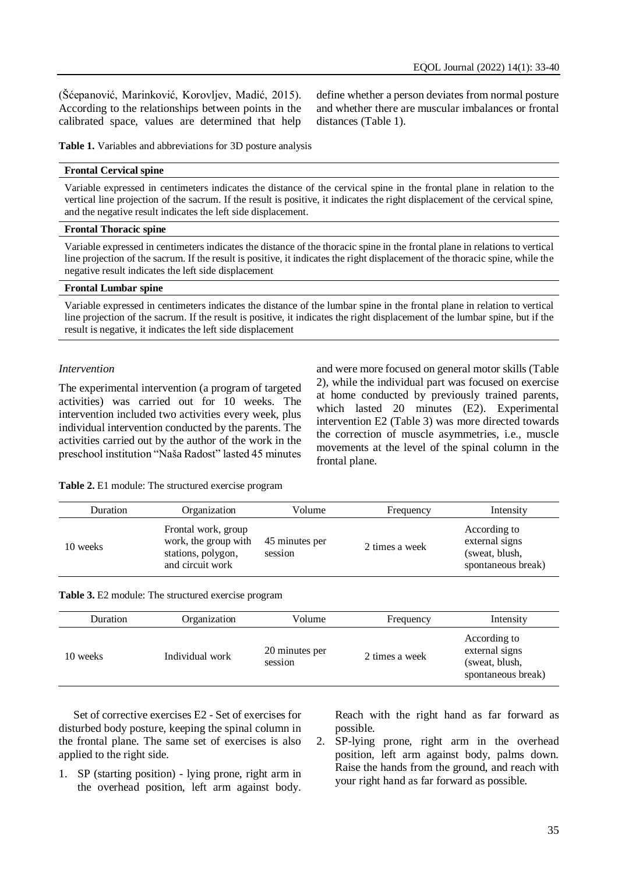(Šćepanović, Marinković, Korovljev, Madić, 2015). According to the relationships between points in the calibrated space, values are determined that help define whether a person deviates from normal posture and whether there are muscular imbalances or frontal distances (Table 1).

**Table 1.** Variables and abbreviations for 3D posture analysis

#### **Frontal Cervical spine**

Variable expressed in centimeters indicates the distance of the cervical spine in the frontal plane in relation to the vertical line projection of the sacrum. If the result is positive, it indicates the right displacement of the cervical spine, and the negative result indicates the left side displacement.

#### **Frontal Thoracic spine**

Variable expressed in centimeters indicates the distance of the thoracic spine in the frontal plane in relations to vertical line projection of the sacrum. If the result is positive, it indicates the right displacement of the thoracic spine, while the negative result indicates the left side displacement

#### **Frontal Lumbar spine**

Variable expressed in centimeters indicates the distance of the lumbar spine in the frontal plane in relation to vertical line projection of the sacrum. If the result is positive, it indicates the right displacement of the lumbar spine, but if the result is negative, it indicates the left side displacement

#### *Intervention*

The experimental intervention (a program of targeted activities) was carried out for 10 weeks. The intervention included two activities every week, plus individual intervention conducted by the parents. The activities carried out by the author of the work in the preschool institution "Naša Radost" lasted 45 minutes

and were more focused on general motor skills (Table 2), while the individual part was focused on exercise at home conducted by previously trained parents, which lasted 20 minutes (E2). Experimental intervention E2 (Table 3) was more directed towards the correction of muscle asymmetries, i.e., muscle movements at the level of the spinal column in the frontal plane.

**Table 2.** E1 module: The structured exercise program

| <b>Duration</b> | Organization                                                                          | Volume                    | Frequency      | Intensity                                                              |
|-----------------|---------------------------------------------------------------------------------------|---------------------------|----------------|------------------------------------------------------------------------|
| 10 weeks        | Frontal work, group<br>work, the group with<br>stations, polygon,<br>and circuit work | 45 minutes per<br>session | 2 times a week | According to<br>external signs<br>(sweat, blush,<br>spontaneous break) |

**Table 3.** E2 module: The structured exercise program

| Duration | Organization    | Volume                    | Frequency      | Intensity                                                              |
|----------|-----------------|---------------------------|----------------|------------------------------------------------------------------------|
| 10 weeks | Individual work | 20 minutes per<br>session | 2 times a week | According to<br>external signs<br>(sweat, blush,<br>spontaneous break) |

Set of corrective exercises E2 - Set of exercises for disturbed body posture, keeping the spinal column in the frontal plane. The same set of exercises is also applied to the right side.

1. SP (starting position) - lying prone, right arm in the overhead position, left arm against body. Reach with the right hand as far forward as possible.

2. SP-lying prone, right arm in the overhead position, left arm against body, palms down. Raise the hands from the ground, and reach with your right hand as far forward as possible.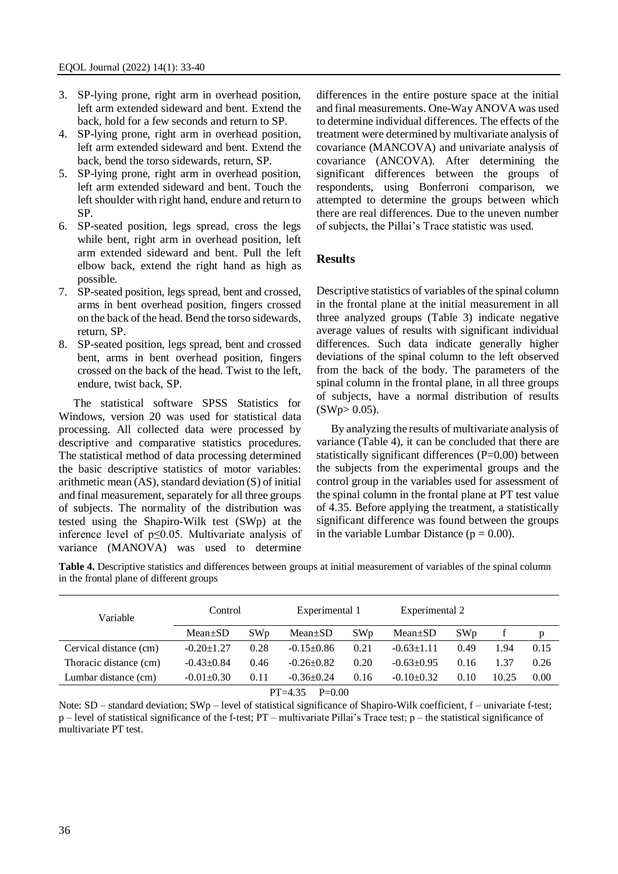- 3. SP-lying prone, right arm in overhead position, left arm extended sideward and bent. Extend the back, hold for a few seconds and return to SP.
- 4. SP-lying prone, right arm in overhead position, left arm extended sideward and bent. Extend the back, bend the torso sidewards, return, SP.
- 5. SP-lying prone, right arm in overhead position, left arm extended sideward and bent. Touch the left shoulder with right hand, endure and return to SP.
- 6. SP-seated position, legs spread, cross the legs while bent, right arm in overhead position, left arm extended sideward and bent. Pull the left elbow back, extend the right hand as high as possible.
- 7. SP-seated position, legs spread, bent and crossed, arms in bent overhead position, fingers crossed on the back of the head. Bend the torso sidewards, return, SP.
- 8. SP-seated position, legs spread, bent and crossed bent, arms in bent overhead position, fingers crossed on the back of the head. Twist to the left, endure, twist back, SP.

The statistical software SPSS Statistics for Windows, version 20 was used for statistical data processing. All collected data were processed by descriptive and comparative statistics procedures. The statistical method of data processing determined the basic descriptive statistics of motor variables: arithmetic mean  $(AS)$ , standard deviation  $(S)$  of initial and final measurement, separately for all three groups of subjects. The normality of the distribution was tested using the Shapiro-Wilk test (SWp) at the inference level of p≤0.05. Multivariate analysis of variance (MANOVA) was used to determine

differences in the entire posture space at the initial and final measurements. One-Way ANOVA was used to determine individual differences. The effects of the treatment were determined by multivariate analysis of covariance (MANCOVA) and univariate analysis of covariance (ANCOVA). After determining the significant differences between the groups of respondents, using Bonferroni comparison, we attempted to determine the groups between which there are real differences. Due to the uneven number of subjects, the Pillai's Trace statistic was used.

# **Results**

Descriptive statistics of variables of the spinal column in the frontal plane at the initial measurement in all three analyzed groups (Table 3) indicate negative average values of results with significant individual differences. Such data indicate generally higher deviations of the spinal column to the left observed from the back of the body. The parameters of the spinal column in the frontal plane, in all three groups of subjects, have a normal distribution of results  $(SWp>0.05)$ .

By analyzing the results of multivariate analysis of variance (Table 4), it can be concluded that there are statistically significant differences (P=0.00) between the subjects from the experimental groups and the control group in the variables used for assessment of the spinal column in the frontal plane at PT test value of 4.35. Before applying the treatment, a statistically significant difference was found between the groups in the variable Lumbar Distance ( $p = 0.00$ ).

**Table 4.** Descriptive statistics and differences between groups at initial measurement of variables of the spinal column in the frontal plane of different groups

| Variable               | Control          |      | Experimental 1          |                 | Experimental 2   |                 |       |      |
|------------------------|------------------|------|-------------------------|-----------------|------------------|-----------------|-------|------|
|                        | $Mean \pm SD$    | SWp  | $Mean \pm SD$           | SW <sub>p</sub> | $Mean \pm SD$    | SW <sub>p</sub> |       | p    |
| Cervical distance (cm) | $-0.20 \pm 1.27$ | 0.28 | $-0.15+0.86$            | 0.21            | $-0.63 \pm 1.11$ | 0.49            | 1.94  | 0.15 |
| Thoracic distance (cm) | $-0.43+0.84$     | 0.46 | $-0.26+0.82$            | 0.20            | $-0.63+0.95$     | 0.16            | 1.37  | 0.26 |
| Lumbar distance (cm)   | $-0.01 \pm 0.30$ | 0.11 | $-0.36 \pm 0.24$        | 0.16            | $-0.10+0.32$     | 0.10            | 10.25 | 0.00 |
|                        |                  |      | $PT = 4.35$<br>$P=0.00$ |                 |                  |                 |       |      |

Note: SD – standard deviation; SWp – level of statistical significance of Shapiro-Wilk coefficient, f – univariate f-test; p – level of statistical significance of the f-test; PT – multivariate Pillai's Trace test; p – the statistical significance of multivariate PT test.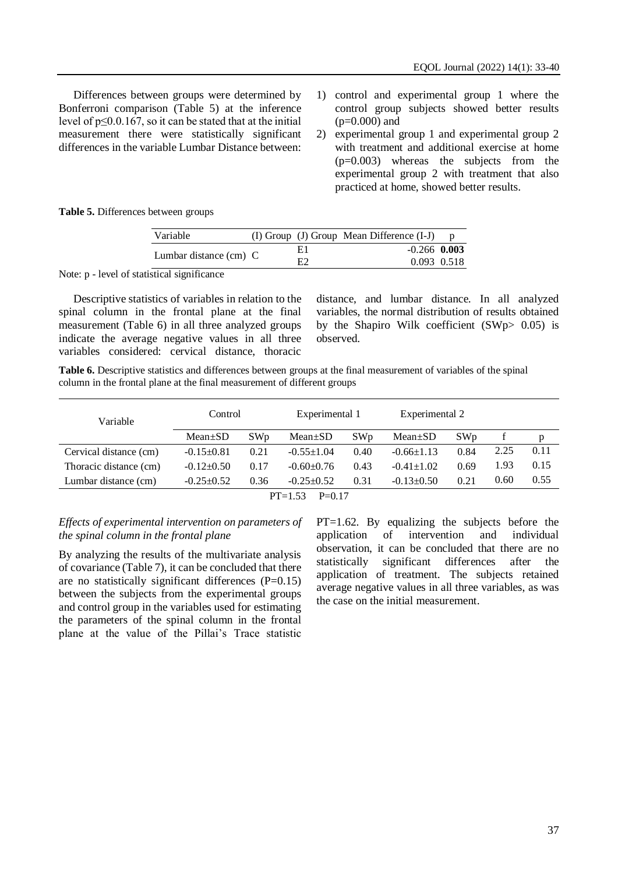Differences between groups were determined by Bonferroni comparison (Table 5) at the inference level of  $p \le 0.0.167$ , so it can be stated that at the initial measurement there were statistically significant differences in the variable Lumbar Distance between:

- 1) control and experimental group 1 where the control group subjects showed better results  $(p=0.000)$  and
- 2) experimental group 1 and experimental group 2 with treatment and additional exercise at home (p=0.003) whereas the subjects from the experimental group 2 with treatment that also practiced at home, showed better results.

**Table 5.** Differences between groups

| Variable                 |  |    | (I) Group (J) Group Mean Difference (I-J) |  |
|--------------------------|--|----|-------------------------------------------|--|
| Lumbar distance $(cm)$ C |  | E1 | $-0.266$ 0.003                            |  |
|                          |  | E2 | 0.093 0.518                               |  |

Note: p - level of statistical significance

Descriptive statistics of variables in relation to the spinal column in the frontal plane at the final measurement (Table 6) in all three analyzed groups indicate the average negative values in all three variables considered: cervical distance, thoracic

distance, and lumbar distance. In all analyzed variables, the normal distribution of results obtained by the Shapiro Wilk coefficient (SWp> 0.05) is observed.

**Table 6.** Descriptive statistics and differences between groups at the final measurement of variables of the spinal column in the frontal plane at the final measurement of different groups

| Variable               | Control          |                 | Experimental 1        |                 | Experimental 2   |                 |      |      |
|------------------------|------------------|-----------------|-----------------------|-----------------|------------------|-----------------|------|------|
|                        | $Mean \pm SD$    | SW <sub>p</sub> | $Mean \pm SD$         | SW <sub>p</sub> | $Mean \pm SD$    | SW <sub>p</sub> |      | p    |
| Cervical distance (cm) | $-0.15+0.81$     | 0.21            | $-0.55 \pm 1.04$      | 0.40            | $-0.66\pm1.13$   | 0.84            | 2.25 | 0.11 |
| Thoracic distance (cm) | $-0.12 \pm 0.50$ | 0.17            | $-0.60+0.76$          | 0.43            | $-0.41+1.02$     | 0.69            | 1.93 | 0.15 |
| Lumbar distance (cm)   | $-0.25+0.52$     | 0.36            | $-0.25+0.52$          | 0.31            | $-0.13 \pm 0.50$ | 0.21            | 0.60 | 0.55 |
|                        |                  |                 | $PT=1.53$<br>$P=0.17$ |                 |                  |                 |      |      |

*Effects of experimental intervention on parameters of the spinal column in the frontal plane*

By analyzing the results of the multivariate analysis of covariance (Table 7), it can be concluded that there are no statistically significant differences (P=0.15) between the subjects from the experimental groups and control group in the variables used for estimating the parameters of the spinal column in the frontal plane at the value of the Pillai's Trace statistic PT=1.62. By equalizing the subjects before the application of intervention and individual observation, it can be concluded that there are no statistically significant differences after the application of treatment. The subjects retained average negative values in all three variables, as was the case on the initial measurement.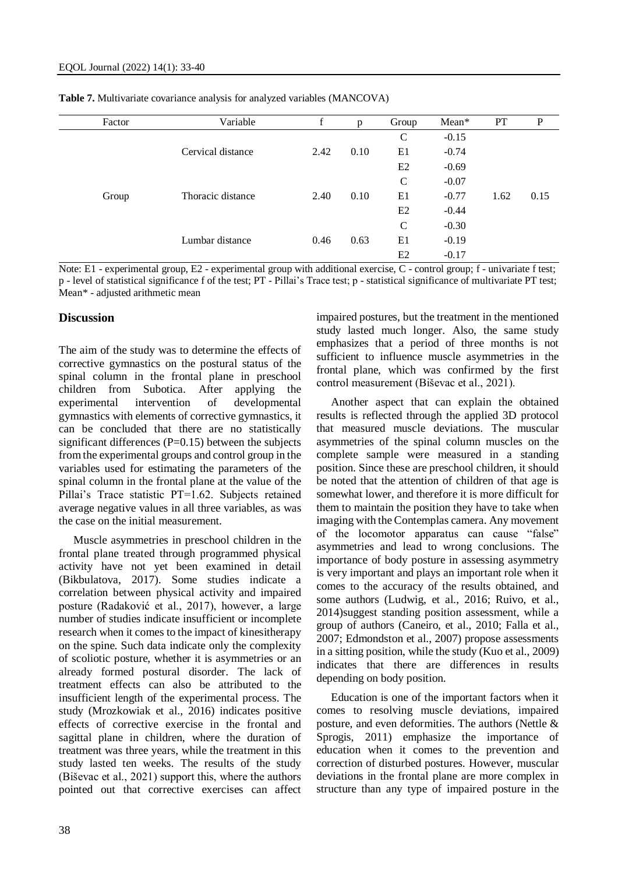| Factor | Variable          | f    | p    | Group          | Mean*         | <b>PT</b> | P    |  |
|--------|-------------------|------|------|----------------|---------------|-----------|------|--|
|        |                   |      |      | $\mathcal{C}$  | $-0.15$       |           |      |  |
|        | Cervical distance | 2.42 | 0.10 | E1             | $-0.74$       | 1.62      | 0.15 |  |
|        |                   |      |      | E2             | $-0.69$       |           |      |  |
|        | Thoracic distance | 2.40 | 0.10 | $\mathsf{C}$   | $-0.07$       |           |      |  |
| Group  |                   |      |      | E1             | $-0.77$       |           |      |  |
|        |                   |      |      | E <sub>2</sub> | $-0.44$       |           |      |  |
|        |                   |      | 0.63 |                | $\mathcal{C}$ | $-0.30$   |      |  |
|        | Lumbar distance   | 0.46 |      | E1             | $-0.19$       |           |      |  |
|        |                   |      |      | E2             | $-0.17$       |           |      |  |

**Table 7.** Multivariate covariance analysis for analyzed variables (MANCOVA)

Note: E1 - experimental group, E2 - experimental group with additional exercise, C - control group; f - univariate f test; p - level of statistical significance f of the test; PT - Pillai's Trace test; p - statistical significance of multivariate PT test; Mean\* - adjusted arithmetic mean

#### **Discussion**

The aim of the study was to determine the effects of corrective gymnastics on the postural status of the spinal column in the frontal plane in preschool children from Subotica. After applying the experimental intervention of developmental gymnastics with elements of corrective gymnastics, it can be concluded that there are no statistically significant differences  $(P=0.15)$  between the subjects from the experimental groups and control group in the variables used for estimating the parameters of the spinal column in the frontal plane at the value of the Pillai's Trace statistic PT=1.62. Subjects retained average negative values in all three variables, as was the case on the initial measurement.

Muscle asymmetries in preschool children in the frontal plane treated through programmed physical activity have not yet been examined in detail (Bikbulatova, 2017). Some studies indicate a correlation between physical activity and impaired posture (Radaković et al., 2017), however, a large number of studies indicate insufficient or incomplete research when it comes to the impact of kinesitherapy on the spine. Such data indicate only the complexity of scoliotic posture, whether it is asymmetries or an already formed postural disorder. The lack of treatment effects can also be attributed to the insufficient length of the experimental process. The study (Mrozkowiak et al., 2016) indicates positive effects of corrective exercise in the frontal and sagittal plane in children, where the duration of treatment was three years, while the treatment in this study lasted ten weeks. The results of the study (Biševac et al., 2021) support this, where the authors pointed out that corrective exercises can affect

38

impaired postures, but the treatment in the mentioned study lasted much longer. Also, the same study emphasizes that a period of three months is not sufficient to influence muscle asymmetries in the frontal plane, which was confirmed by the first control measurement (Biševac et al., 2021).

Another aspect that can explain the obtained results is reflected through the applied 3D protocol that measured muscle deviations. The muscular asymmetries of the spinal column muscles on the complete sample were measured in a standing position. Since these are preschool children, it should be noted that the attention of children of that age is somewhat lower, and therefore it is more difficult for them to maintain the position they have to take when imaging with the Contemplas camera. Any movement of the locomotor apparatus can cause "false" asymmetries and lead to wrong conclusions. The importance of body posture in assessing asymmetry is very important and plays an important role when it comes to the accuracy of the results obtained, and some authors (Ludwig, et al., 2016; Ruivo, et al., 2014)suggest standing position assessment, while a group of authors (Caneiro, et al., 2010; Falla et al., 2007; Edmondston et al., 2007) propose assessments in a sitting position, while the study (Kuo et al., 2009) indicates that there are differences in results depending on body position.

Education is one of the important factors when it comes to resolving muscle deviations, impaired posture, and even deformities. The authors (Nettle & Sprogis, 2011) emphasize the importance of education when it comes to the prevention and correction of disturbed postures. However, muscular deviations in the frontal plane are more complex in structure than any type of impaired posture in the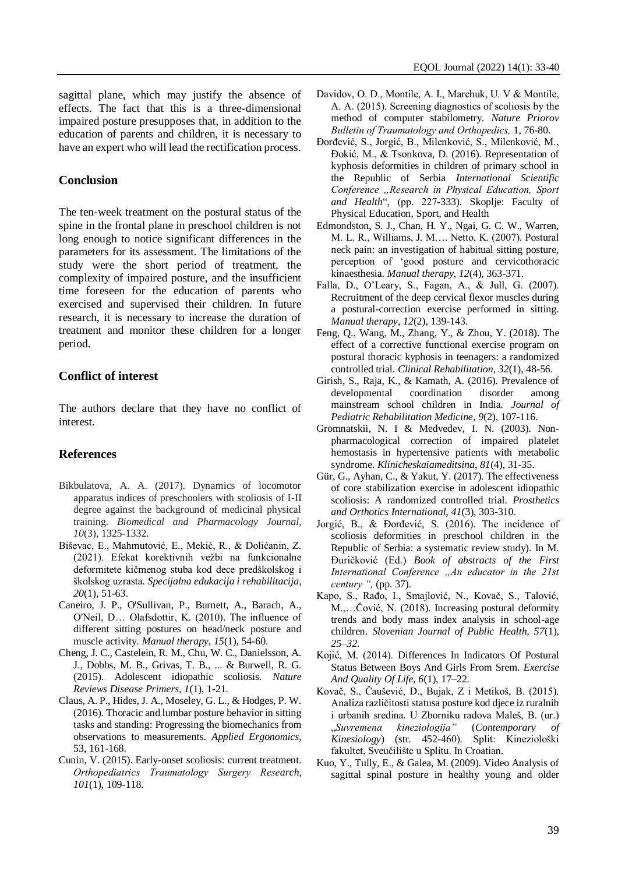sagittal plane, which may justify the absence of effects. The fact that this is a three-dimensional impaired posture presupposes that, in addition to the education of parents and children, it is necessary to have an expert who will lead the rectification process.

# **Conclusion**

The ten-week treatment on the postural status of the spine in the frontal plane in preschool children is not long enough to notice significant differences in the parameters for its assessment. The limitations of the study were the short period of treatment, the complexity of impaired posture, and the insufficient time foreseen for the education of parents who exercised and supervised their children. In future research, it is necessary to increase the duration of treatment and monitor these children for a longer period.

# **Conflict of interest**

The authors declare that they have no conflict of interest.

# **References**

- Bikbulatova, A. A. (2017). Dynamics of locomotor apparatus indices of preschoolers with scoliosis of I-II degree against the background of medicinal physical training. *Biomedical and Pharmacology Journal*, *10*(3), 1325-1332.
- Biševac, E., Mahmutović, E., Mekić, R., & Dolićanin, Z. (2021). Efekat korektivnih vežbi na funkcionalne deformitete kičmenog stuba kod dece predškolskog i školskog uzrasta. *Specijalna edukacija i rehabilitacija*, *20*(1), 51-63.
- Caneiro, J. P., O'Sullivan, P., Burnett, A., Barach, A., O'Neil, D… Olafsdottir, K. (2010). The influence of different sitting postures on head/neck posture and muscle activity. *Manual therapy*, *15*(1), 54-60.
- Cheng, J. C., Castelein, R. M., Chu, W. C., Danielsson, A. J., Dobbs, M. B., Grivas, T. B., ... & Burwell, R. G. (2015). Adolescent idiopathic scoliosis. *Nature Reviews Disease Primers, 1*(1), 1-21.
- Claus, A. P., Hides, J. A., Moseley, G. L., & Hodges, P. W. (2016). Thoracic and lumbar posture behavior in sitting tasks and standing: Progressing the biomechanics from observations to measurements. *Applied Ergonomics*, 53, 161-168.
- Cunin, V. (2015). Early-onset scoliosis: current treatment. *Orthopediatrics Traumatolоgy Surgery Research, 101*(1), 109-118.
- Davidov, О. D., Моntile, А. I., Маrchuk, U. V & Моntile, А. А. (2015). Screening diagnostics of scoliosis by the method of computer stabilometry. *Nature Priorov Вulletin of Traumatology and Orthopedics,* 1, 76-80.
- Đorđević, S., Jorgić, B., Milenković, S., Milenković, M., Đokić, M., & Tsonkova, D. (2016). Representation of kyphosis deformities in children of primary school in the Republic of Serbia *International Scientific Conference "Research in Physical Education, Sport and Health*", (pp. 227-333). Skoplje: Faculty of Physical Education, Sport, and Health
- Edmondston, S. J., Chan, H. Y., Ngai, G. C. W., Warren, M. L. R., Williams, J. M…. Netto, K. (2007). Postural neck pain: an investigation of habitual sitting posture, perception of 'good posture and cervicothoracic kinaesthesia. *Manual therapy*, *12*(4), 363-371.
- Falla, D., O'Leary, S., Fagan, A., & Jull, G. (2007). Recruitment of the deep cervical flexor muscles during a postural-correction exercise performed in sitting. *Manual therapy*, *12*(2), 139-143.
- Feng, Q., Wang, M., Zhang, Y., & Zhou, Y. (2018). The effect of a corrective functional exercise program on postural thoracic kyphosis in teenagers: a randomized controlled trial. *Clinical Rehabilitation*, *32*(1), 48-56.
- Girish, S., Raja, K., & Kamath, A. (2016). Prevalence of developmental coordination disorder among mainstream school children in India. *Journal of Pediatric Rehabilitation Medicine*, *9*(2), 107-116.
- Gromnatskii, N. I & Medvedev, I. N. (2003). Nonpharmacological correction of impaired platelet hemostasis in hypertensive patients with metabolic syndrome. *Klinicheskaiameditsina, 81*(4), 31-35.
- Gür, G., Ayhan, C., & Yakut, Y. (2017). The effectiveness of core stabilization exercise in adolescent idiopathic scoliosis: A randomized controlled trial. *Prosthetics and Orthotics International, 41*(3), 303-310.
- Jorgić, B., & Đorđević, S. (2016). The incidence of scoliosis deformities in preschool children in the Republic of Serbia: a systematic review study). In M. Đuričković (Ed.) *Book of abstracts of the First International Conference "An educator in the 21st century ",* (pp. 37).
- Kapo, S., Rađo, I., Smajlović, N., Kovač, S., Talović, M.,…Čović, N. (2018). Increasing postural deformity trends and body mass index analysis in school-age children. *Slovenian Journal of Public Health, 57*(1), *25–32.*
- Kojić, M. (2014). Differences In Indicators Of Postural Status Between Boys And Girls From Srem. *Exercise And Quality Of Life, 6*(1), 17–22.
- Kovač, S., Čaušević, D., Bujak, Z i Metikoš, B. (2015). Analiza različitosti statusa posture kod djece iz ruralnih i urbanih sredina. U Zborniku radova Maleš, B. (ur.) "*Suvremena kineziologija"* (*Contemporary of Kinesiology*) (str. 452-460). Split: Kineziološki fakultet, Sveučilište u Splitu. In Croatian.
- Kuo, Y., Tully, E., & Galea, M. (2009). Video Analysis of sagittal spinal posture in healthy young and older